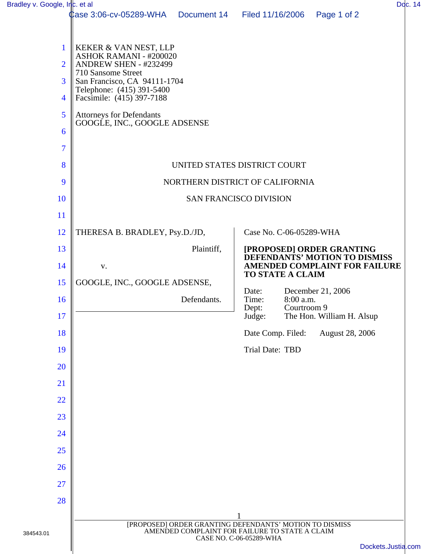| Bradley v. Google, Inc. et al                                   |                                                                                                                                                                                                                                                             |             |                                                                                           |                           | Doc. 14            |  |
|-----------------------------------------------------------------|-------------------------------------------------------------------------------------------------------------------------------------------------------------------------------------------------------------------------------------------------------------|-------------|-------------------------------------------------------------------------------------------|---------------------------|--------------------|--|
|                                                                 | Case 3:06-cv-05289-WHA   Document 14                                                                                                                                                                                                                        |             | Filed 11/16/2006                                                                          | Page 1 of 2               |                    |  |
| $\mathbf{1}$<br>$\overline{2}$<br>3<br>$\overline{4}$<br>5<br>6 | KEKER & VAN NEST, LLP<br>ASHOK RAMANI - #200020<br>ANDREW SHEN - #232499<br>710 Sansome Street<br>San Francisco, CA 94111-1704<br>Telephone: (415) 391-5400<br>Facsimile: (415) 397-7188<br><b>Attorneys for Defendants</b><br>GOOGLE, INC., GOOGLE ADSENSE |             |                                                                                           |                           |                    |  |
| $\overline{7}$                                                  |                                                                                                                                                                                                                                                             |             |                                                                                           |                           |                    |  |
| 8                                                               | UNITED STATES DISTRICT COURT                                                                                                                                                                                                                                |             |                                                                                           |                           |                    |  |
| 9                                                               | NORTHERN DISTRICT OF CALIFORNIA                                                                                                                                                                                                                             |             |                                                                                           |                           |                    |  |
| 10                                                              | <b>SAN FRANCISCO DIVISION</b>                                                                                                                                                                                                                               |             |                                                                                           |                           |                    |  |
| 11                                                              |                                                                                                                                                                                                                                                             |             |                                                                                           |                           |                    |  |
| 12                                                              | THERESA B. BRADLEY, Psy.D./JD,                                                                                                                                                                                                                              |             | Case No. C-06-05289-WHA                                                                   |                           |                    |  |
| 13                                                              |                                                                                                                                                                                                                                                             | Plaintiff,  |                                                                                           | [PROPOSED] ORDER GRANTING |                    |  |
| 14                                                              | V.                                                                                                                                                                                                                                                          |             | DEFENDANTS' MOTION TO DISMISS<br>AMENDED COMPLAINT FOR FAILURE<br><b>TO STATE A CLAIM</b> |                           |                    |  |
| 15                                                              | GOOGLE, INC., GOOGLE ADSENSE,                                                                                                                                                                                                                               |             |                                                                                           |                           |                    |  |
| 16                                                              |                                                                                                                                                                                                                                                             | Defendants. | Date:<br>8:00 a.m.<br>Time:                                                               | December 21, 2006         |                    |  |
| 17                                                              |                                                                                                                                                                                                                                                             |             | Dept:<br>Courtroom 9<br>Judge:                                                            | The Hon. William H. Alsup |                    |  |
| 18                                                              |                                                                                                                                                                                                                                                             |             | Date Comp. Filed:                                                                         | August 28, 2006           |                    |  |
| 19                                                              |                                                                                                                                                                                                                                                             |             | Trial Date: TBD                                                                           |                           |                    |  |
| 20                                                              |                                                                                                                                                                                                                                                             |             |                                                                                           |                           |                    |  |
| 21                                                              |                                                                                                                                                                                                                                                             |             |                                                                                           |                           |                    |  |
| 22                                                              |                                                                                                                                                                                                                                                             |             |                                                                                           |                           |                    |  |
| 23                                                              |                                                                                                                                                                                                                                                             |             |                                                                                           |                           |                    |  |
| 24                                                              |                                                                                                                                                                                                                                                             |             |                                                                                           |                           |                    |  |
| 25                                                              |                                                                                                                                                                                                                                                             |             |                                                                                           |                           |                    |  |
| 26                                                              |                                                                                                                                                                                                                                                             |             |                                                                                           |                           |                    |  |
| 27                                                              |                                                                                                                                                                                                                                                             |             |                                                                                           |                           |                    |  |
| 28                                                              |                                                                                                                                                                                                                                                             |             |                                                                                           |                           |                    |  |
|                                                                 |                                                                                                                                                                                                                                                             |             |                                                                                           |                           |                    |  |
| 384543.01                                                       | [PROPOSED] ORDER GRANTING DEFENDANTS' MOTION TO DISMISS<br>AMENDED COMPLAINT FOR FAILURE TO STATE A CLAIM<br>CASE NO. C-06-05289-WHA                                                                                                                        |             |                                                                                           |                           |                    |  |
|                                                                 |                                                                                                                                                                                                                                                             |             |                                                                                           |                           | Dockets.Justia.com |  |